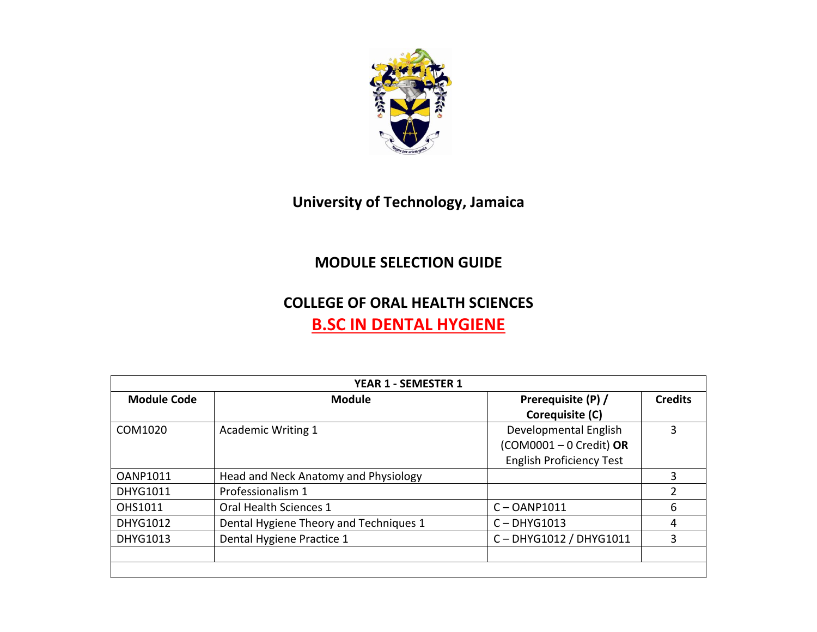

## **University of Technology, Jamaica**

## **MODULE SELECTION GUIDE**

## **COLLEGE OF ORAL HEALTH SCIENCES B.SC IN DENTAL HYGIENE**

| <b>YEAR 1 - SEMESTER 1</b> |                                        |                                                                                       |                |  |  |
|----------------------------|----------------------------------------|---------------------------------------------------------------------------------------|----------------|--|--|
| <b>Module Code</b>         | <b>Module</b>                          | Prerequisite (P) /<br>Corequisite (C)                                                 | <b>Credits</b> |  |  |
| COM1020                    | <b>Academic Writing 1</b>              | Developmental English<br>$(COM0001 - 0 Credit)$ OR<br><b>English Proficiency Test</b> | 3              |  |  |
| <b>OANP1011</b>            | Head and Neck Anatomy and Physiology   |                                                                                       | 3              |  |  |
| <b>DHYG1011</b>            | Professionalism 1                      |                                                                                       | 2              |  |  |
| OHS1011                    | Oral Health Sciences 1                 | $C - OANP1011$                                                                        | 6              |  |  |
| DHYG1012                   | Dental Hygiene Theory and Techniques 1 | $C - DHYG1013$                                                                        | 4              |  |  |
| <b>DHYG1013</b>            | Dental Hygiene Practice 1              | C-DHYG1012 / DHYG1011                                                                 | 3              |  |  |
|                            |                                        |                                                                                       |                |  |  |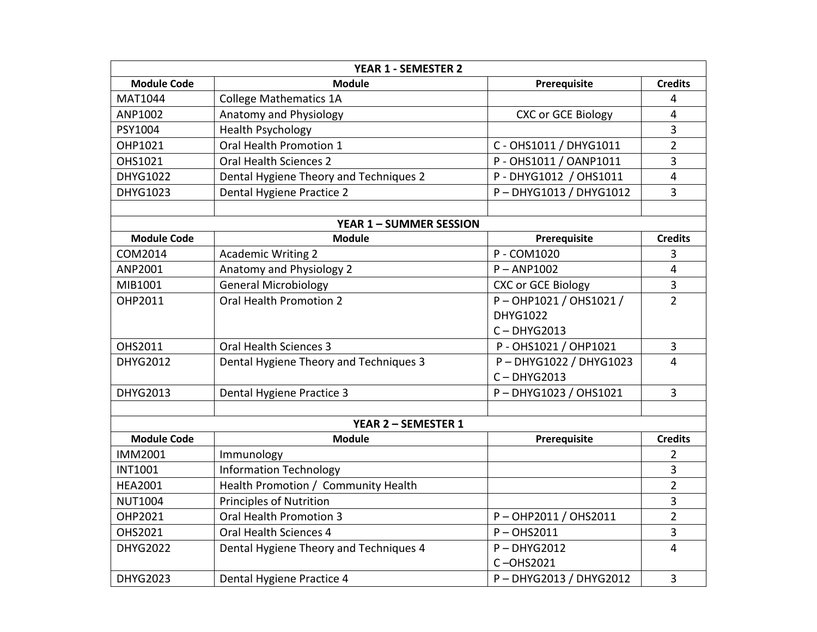| <b>YEAR 1 - SEMESTER 2</b>     |                                        |                           |                         |  |  |
|--------------------------------|----------------------------------------|---------------------------|-------------------------|--|--|
| <b>Module Code</b>             | <b>Module</b>                          | Prerequisite              | <b>Credits</b>          |  |  |
| MAT1044                        | <b>College Mathematics 1A</b>          |                           | 4                       |  |  |
| ANP1002                        | Anatomy and Physiology                 | <b>CXC or GCE Biology</b> | $\overline{4}$          |  |  |
| PSY1004                        | <b>Health Psychology</b>               |                           | $\overline{\mathbf{3}}$ |  |  |
| OHP1021                        | Oral Health Promotion 1                | C - OHS1011 / DHYG1011    | $\overline{2}$          |  |  |
| OHS1021                        | <b>Oral Health Sciences 2</b>          | P - OHS1011 / OANP1011    | $\overline{3}$          |  |  |
| <b>DHYG1022</b>                | Dental Hygiene Theory and Techniques 2 | P - DHYG1012 / OHS1011    | 4                       |  |  |
| <b>DHYG1023</b>                | Dental Hygiene Practice 2              | P-DHYG1013 / DHYG1012     | $\overline{3}$          |  |  |
|                                |                                        |                           |                         |  |  |
| <b>YEAR 1 - SUMMER SESSION</b> |                                        |                           |                         |  |  |
| <b>Module Code</b>             | <b>Module</b>                          | Prerequisite              | <b>Credits</b>          |  |  |
| COM2014                        | <b>Academic Writing 2</b>              | P - COM1020               | 3                       |  |  |
| ANP2001                        | Anatomy and Physiology 2               | $P - AND1002$             | $\overline{4}$          |  |  |
| MIB1001                        | <b>General Microbiology</b>            | <b>CXC or GCE Biology</b> | $\overline{3}$          |  |  |
| OHP2011                        | <b>Oral Health Promotion 2</b>         | P-OHP1021 / OHS1021 /     | $\overline{2}$          |  |  |
|                                |                                        | <b>DHYG1022</b>           |                         |  |  |
|                                |                                        | $C - DHYG2013$            |                         |  |  |
| OHS2011                        | <b>Oral Health Sciences 3</b>          | P - OHS1021 / OHP1021     | $\overline{3}$          |  |  |
| <b>DHYG2012</b>                | Dental Hygiene Theory and Techniques 3 | P-DHYG1022 / DHYG1023     | $\overline{4}$          |  |  |
|                                |                                        | $C - DHYG2013$            |                         |  |  |
| DHYG2013                       | Dental Hygiene Practice 3              | P-DHYG1023 / OHS1021      | $\overline{3}$          |  |  |
|                                |                                        |                           |                         |  |  |
| <b>YEAR 2 - SEMESTER 1</b>     |                                        |                           |                         |  |  |
| <b>Module Code</b>             | <b>Module</b>                          | Prerequisite              | <b>Credits</b>          |  |  |
| IMM2001                        | Immunology                             |                           | $\overline{2}$          |  |  |
| <b>INT1001</b>                 | <b>Information Technology</b>          |                           | 3                       |  |  |
| <b>HEA2001</b>                 | Health Promotion / Community Health    |                           | $\overline{2}$          |  |  |
| <b>NUT1004</b>                 | <b>Principles of Nutrition</b>         |                           | 3                       |  |  |
| OHP2021                        | Oral Health Promotion 3                | P-OHP2011 / OHS2011       | $\overline{2}$          |  |  |
| OHS2021                        | Oral Health Sciences 4                 | $P - OHS2011$             | $\overline{3}$          |  |  |
| <b>DHYG2022</b>                | Dental Hygiene Theory and Techniques 4 | $P - DHYG2012$            | $\overline{4}$          |  |  |
|                                |                                        | C-OHS2021                 |                         |  |  |
| <b>DHYG2023</b>                | Dental Hygiene Practice 4              | P-DHYG2013 / DHYG2012     | $\overline{3}$          |  |  |